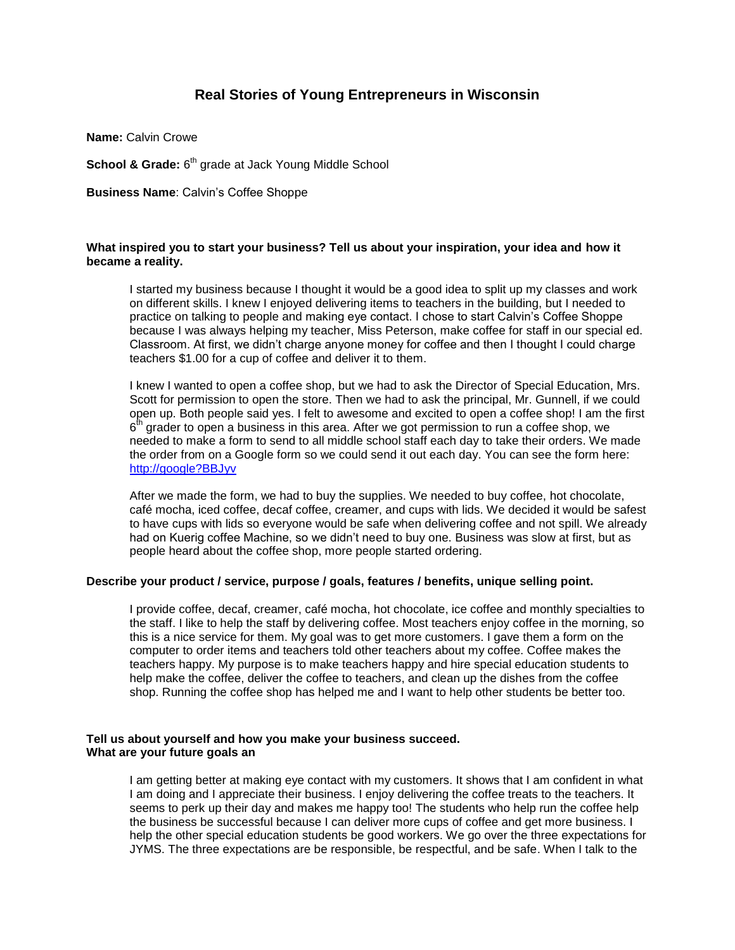# **Real Stories of Young Entrepreneurs in Wisconsin**

**Name:** Calvin Crowe

**School & Grade:** 6<sup>th</sup> grade at Jack Young Middle School

**Business Name**: Calvin's Coffee Shoppe

### **What inspired you to start your business? Tell us about your inspiration, your idea and how it became a reality.**

I started my business because I thought it would be a good idea to split up my classes and work on different skills. I knew I enjoyed delivering items to teachers in the building, but I needed to practice on talking to people and making eye contact. I chose to start Calvin's Coffee Shoppe because I was always helping my teacher, Miss Peterson, make coffee for staff in our special ed. Classroom. At first, we didn't charge anyone money for coffee and then I thought I could charge teachers \$1.00 for a cup of coffee and deliver it to them.

I knew I wanted to open a coffee shop, but we had to ask the Director of Special Education, Mrs. Scott for permission to open the store. Then we had to ask the principal, Mr. Gunnell, if we could open up. Both people said yes. I felt to awesome and excited to open a coffee shop! I am the first 6<sup>th</sup> grader to open a business in this area. After we got permission to run a coffee shop, we needed to make a form to send to all middle school staff each day to take their orders. We made the order from on a Google form so we could send it out each day. You can see the form here: [http://google?BBJyv](http://google/?BBJyv)

After we made the form, we had to buy the supplies. We needed to buy coffee, hot chocolate, café mocha, iced coffee, decaf coffee, creamer, and cups with lids. We decided it would be safest to have cups with lids so everyone would be safe when delivering coffee and not spill. We already had on Kuerig coffee Machine, so we didn't need to buy one. Business was slow at first, but as people heard about the coffee shop, more people started ordering.

# **Describe your product / service, purpose / goals, features / benefits, unique selling point.**

I provide coffee, decaf, creamer, café mocha, hot chocolate, ice coffee and monthly specialties to the staff. I like to help the staff by delivering coffee. Most teachers enjoy coffee in the morning, so this is a nice service for them. My goal was to get more customers. I gave them a form on the computer to order items and teachers told other teachers about my coffee. Coffee makes the teachers happy. My purpose is to make teachers happy and hire special education students to help make the coffee, deliver the coffee to teachers, and clean up the dishes from the coffee shop. Running the coffee shop has helped me and I want to help other students be better too.

#### **Tell us about yourself and how you make your business succeed. What are your future goals an**

I am getting better at making eye contact with my customers. It shows that I am confident in what I am doing and I appreciate their business. I enjoy delivering the coffee treats to the teachers. It seems to perk up their day and makes me happy too! The students who help run the coffee help the business be successful because I can deliver more cups of coffee and get more business. I help the other special education students be good workers. We go over the three expectations for JYMS. The three expectations are be responsible, be respectful, and be safe. When I talk to the